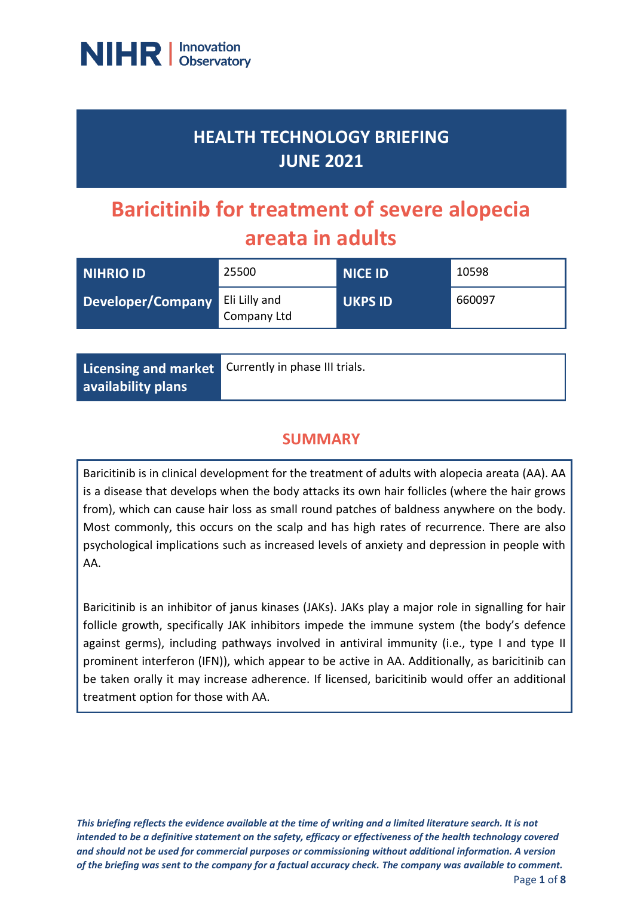

## **HEALTH TECHNOLOGY BRIEFING JUNE 2021**

# **Baricitinib for treatment of severe alopecia areata in adults**

| NIHRIO ID                       | 25500       | <b>NICE ID</b> | 10598  |
|---------------------------------|-------------|----------------|--------|
| Developer/Company Eli Lilly and | Company Ltd | <b>UKPS ID</b> | 660097 |

|                    | Licensing and market Currently in phase III trials. |
|--------------------|-----------------------------------------------------|
| availability plans |                                                     |

## **SUMMARY**

Baricitinib is in clinical development for the treatment of adults with alopecia areata (AA). AA is a disease that develops when the body attacks its own hair follicles (where the hair grows from), which can cause hair loss as small round patches of baldness anywhere on the body. Most commonly, this occurs on the scalp and has high rates of recurrence. There are also psychological implications such as increased levels of anxiety and depression in people with AA.

Baricitinib is an inhibitor of janus kinases (JAKs). JAKs play a major role in signalling for hair follicle growth, specifically JAK inhibitors impede the immune system (the body's defence against germs), including pathways involved in antiviral immunity (i.e., type I and type II prominent interferon (IFN)), which appear to be active in AA. Additionally, as baricitinib can be taken orally it may increase adherence. If licensed, baricitinib would offer an additional treatment option for those with AA.

*This briefing reflects the evidence available at the time of writing and a limited literature search. It is not intended to be a definitive statement on the safety, efficacy or effectiveness of the health technology covered and should not be used for commercial purposes or commissioning without additional information. A version of the briefing was sent to the company for a factual accuracy check. The company was available to comment.*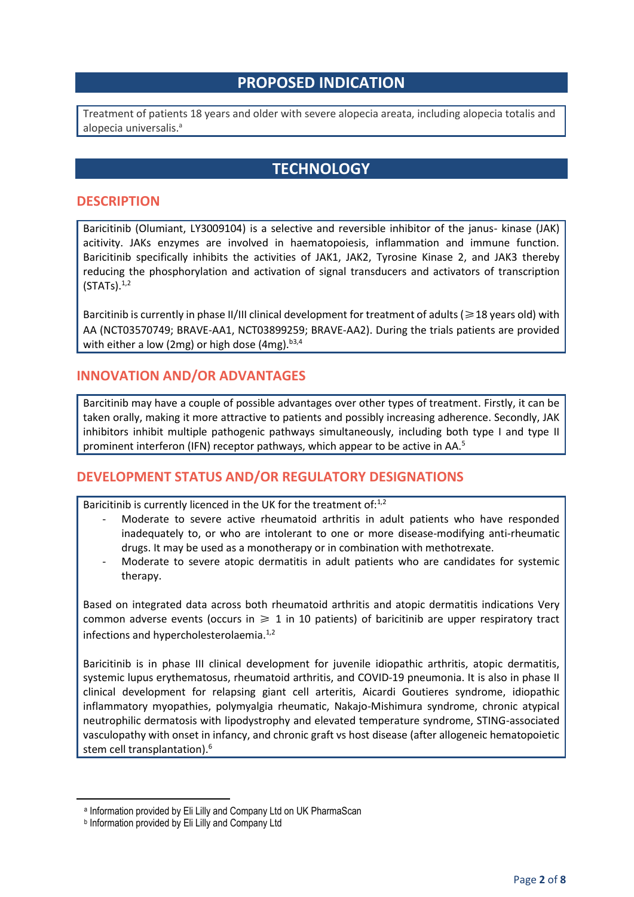## **PROPOSED INDICATION**

Treatment of patients 18 years and older with severe alopecia areata, including alopecia totalis and alopecia universalis. a

## **TECHNOLOGY**

#### **DESCRIPTION**

Baricitinib (Olumiant, LY3009104) is a selective and reversible inhibitor of the janus- kinase (JAK) acitivity. JAKs enzymes are involved in haematopoiesis, inflammation and immune function. Baricitinib specifically inhibits the activities of JAK1, JAK2, Tyrosine Kinase 2, and JAK3 thereby reducing the phosphorylation and activation of signal transducers and activators of transcription  $(STATS).<sup>1,2</sup>$ 

Barcitinib is currently in phase II/III clinical development for treatment of adults ( $\geq 18$  years old) with AA (NCT03570749; BRAVE-AA1, NCT03899259; BRAVE-AA2). During the trials patients are provided with either a low (2mg) or high dose (4mg). $b^{3,4}$ 

#### **INNOVATION AND/OR ADVANTAGES**

Barcitinib may have a couple of possible advantages over other types of treatment. Firstly, it can be taken orally, making it more attractive to patients and possibly increasing adherence. Secondly, JAK inhibitors inhibit multiple pathogenic pathways simultaneously, including both type I and type II prominent interferon (IFN) receptor pathways, which appear to be active in AA.<sup>5</sup>

## **DEVELOPMENT STATUS AND/OR REGULATORY DESIGNATIONS**

Baricitinib is currently licenced in the UK for the treatment of:<sup>1,2</sup>

- Moderate to severe active rheumatoid arthritis in adult patients who have responded inadequately to, or who are intolerant to one or more disease-modifying anti-rheumatic drugs. It may be used as a monotherapy or in combination with methotrexate.
- Moderate to severe atopic dermatitis in adult patients who are candidates for systemic therapy.

Based on integrated data across both rheumatoid arthritis and atopic dermatitis indications Very common adverse events (occurs in  $\geq 1$  in 10 patients) of baricitinib are upper respiratory tract infections and hypercholesterolaemia.<sup>1,2</sup>

Baricitinib is in phase III clinical development for juvenile idiopathic arthritis, atopic dermatitis, systemic lupus erythematosus, rheumatoid arthritis, and COVID-19 pneumonia. It is also in phase II clinical development for relapsing giant cell arteritis, Aicardi Goutieres syndrome, idiopathic inflammatory myopathies, polymyalgia rheumatic, Nakajo-Mishimura syndrome, chronic atypical neutrophilic dermatosis with lipodystrophy and elevated temperature syndrome, STING-associated vasculopathy with onset in infancy, and chronic graft vs host disease (after allogeneic hematopoietic stem cell transplantation).<sup>6</sup>

a Information provided by Eli Lilly and Company Ltd on UK PharmaScan

b Information provided by Eli Lilly and Company Ltd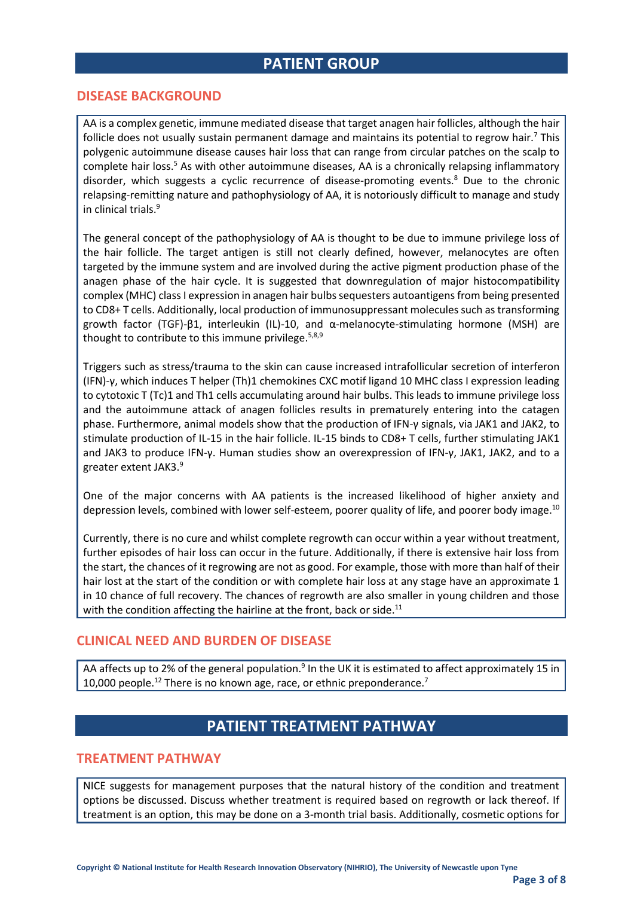## **PATIENT GROUP**

#### **DISEASE BACKGROUND**

AA is a complex genetic, immune mediated disease that target anagen hair follicles, although the hair follicle does not usually sustain permanent damage and maintains its potential to regrow hair.<sup>7</sup> This polygenic autoimmune disease causes hair loss that can range from circular patches on the scalp to complete hair loss.<sup>5</sup> As with other autoimmune diseases, AA is a chronically relapsing inflammatory disorder, which suggests a cyclic recurrence of disease-promoting events.<sup>8</sup> Due to the chronic relapsing-remitting nature and pathophysiology of AA, it is notoriously difficult to manage and study in clinical trials.<sup>9</sup>

The general concept of the pathophysiology of AA is thought to be due to immune privilege loss of the hair follicle. The target antigen is still not clearly defined, however, melanocytes are often targeted by the immune system and are involved during the active pigment production phase of the anagen phase of the hair cycle. It is suggested that downregulation of major histocompatibility complex (MHC) class I expression in anagen hair bulbs sequesters autoantigens from being presented to CD8+ T cells. Additionally, local production of immunosuppressant molecules such as transforming growth factor (TGF)-β1, interleukin (IL)-10, and α-melanocyte-stimulating hormone (MSH) are thought to contribute to this immune privilege.  $5,8,9$ 

Triggers such as stress/trauma to the skin can cause increased intrafollicular secretion of interferon (IFN)-γ, which induces T helper (Th)1 chemokines CXC motif ligand 10 MHC class I expression leading to cytotoxic T (Tc)1 and Th1 cells accumulating around hair bulbs. This leads to immune privilege loss and the autoimmune attack of anagen follicles results in prematurely entering into the catagen phase. Furthermore, animal models show that the production of IFN-γ signals, via JAK1 and JAK2, to stimulate production of IL-15 in the hair follicle. IL-15 binds to CD8+ T cells, further stimulating JAK1 and JAK3 to produce IFN-γ. Human studies show an overexpression of IFN-γ, JAK1, JAK2, and to a greater extent JAK3.<sup>9</sup>

One of the major concerns with AA patients is the increased likelihood of higher anxiety and depression levels, combined with lower self-esteem, poorer quality of life, and poorer body image.<sup>10</sup>

Currently, there is no cure and whilst complete regrowth can occur within a year without treatment, further episodes of hair loss can occur in the future. Additionally, if there is extensive hair loss from the start, the chances of it regrowing are not as good. For example, those with more than half of their hair lost at the start of the condition or with complete hair loss at any stage have an approximate 1 in 10 chance of full recovery. The chances of regrowth are also smaller in young children and those with the condition affecting the hairline at the front, back or side.<sup>11</sup>

#### **CLINICAL NEED AND BURDEN OF DISEASE**

AA affects up to 2% of the general population.<sup>9</sup> In the UK it is estimated to affect approximately 15 in 10,000 people.<sup>12</sup> There is no known age, race, or ethnic preponderance.<sup>7</sup>

## **PATIENT TREATMENT PATHWAY**

#### **TREATMENT PATHWAY**

NICE suggests for management purposes that the natural history of the condition and treatment options be discussed. Discuss whether treatment is required based on regrowth or lack thereof. If treatment is an option, this may be done on a 3-month trial basis. Additionally, cosmetic options for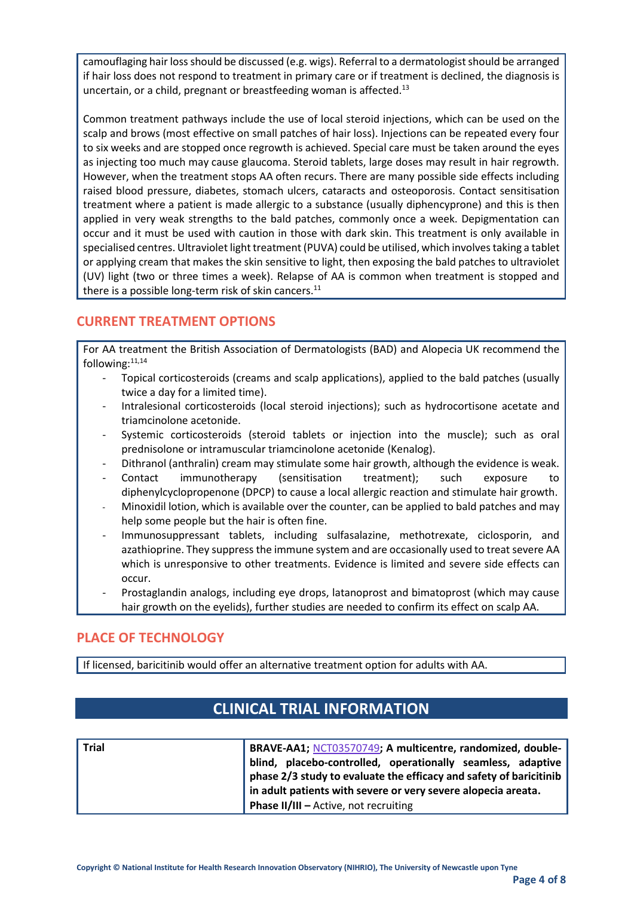camouflaging hair loss should be discussed (e.g. wigs). Referral to a dermatologist should be arranged if hair loss does not respond to treatment in primary care or if treatment is declined, the diagnosis is uncertain, or a child, pregnant or breastfeeding woman is affected.<sup>13</sup>

Common treatment pathways include the use of local steroid injections, which can be used on the scalp and brows (most effective on small patches of hair loss). Injections can be repeated every four to six weeks and are stopped once regrowth is achieved. Special care must be taken around the eyes as injecting too much may cause glaucoma. Steroid tablets, large doses may result in hair regrowth. However, when the treatment stops AA often recurs. There are many possible side effects including raised blood pressure, diabetes, stomach ulcers, cataracts and osteoporosis. Contact sensitisation treatment where a patient is made allergic to a substance (usually diphencyprone) and this is then applied in very weak strengths to the bald patches, commonly once a week. Depigmentation can occur and it must be used with caution in those with dark skin. This treatment is only available in specialised centres. Ultraviolet light treatment (PUVA) could be utilised, which involves taking a tablet or applying cream that makes the skin sensitive to light, then exposing the bald patches to ultraviolet (UV) light (two or three times a week). Relapse of AA is common when treatment is stopped and there is a possible long-term risk of skin cancers. $^{11}$ 

## **CURRENT TREATMENT OPTIONS**

For AA treatment the British Association of Dermatologists (BAD) and Alopecia UK recommend the following: $11,14$ 

- Topical corticosteroids (creams and scalp applications), applied to the bald patches (usually twice a day for a limited time).
- Intralesional corticosteroids (local steroid injections); such as hydrocortisone acetate and triamcinolone acetonide.
- Systemic corticosteroids (steroid tablets or injection into the muscle); such as oral prednisolone or intramuscular triamcinolone acetonide (Kenalog).
- Dithranol (anthralin) cream may stimulate some hair growth, although the evidence is weak.
- Contact immunotherapy (sensitisation treatment); such exposure diphenylcyclopropenone (DPCP) to cause a local allergic reaction and stimulate hair growth.
- Minoxidil lotion, which is available over the counter, can be applied to bald patches and may help some people but the hair is often fine.
- Immunosuppressant tablets, including sulfasalazine, methotrexate, ciclosporin, and azathioprine. They suppress the immune system and are occasionally used to treat severe AA which is unresponsive to other treatments. Evidence is limited and severe side effects can occur.
- Prostaglandin analogs, including eye drops, latanoprost and bimatoprost (which may cause hair growth on the eyelids), further studies are needed to confirm its effect on scalp AA.

## **PLACE OF TECHNOLOGY**

If licensed, baricitinib would offer an alternative treatment option for adults with AA.

## **CLINICAL TRIAL INFORMATION**

| <b>Trial</b> | BRAVE-AA1; NCT03570749; A multicentre, randomized, double-         |
|--------------|--------------------------------------------------------------------|
|              | blind, placebo-controlled, operationally seamless, adaptive        |
|              | phase 2/3 study to evaluate the efficacy and safety of baricitinib |
|              | in adult patients with severe or very severe alopecia areata.      |
|              | <b>Phase II/III - Active, not recruiting</b>                       |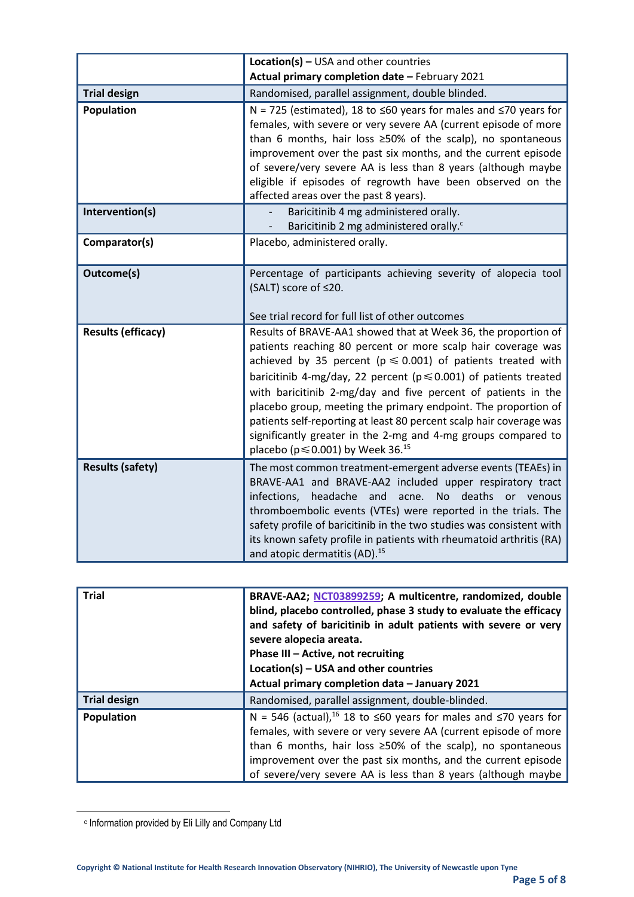|                           | <b>Location(s)</b> - USA and other countries                                                                                                                                                                                                                                                                                                                                                                                                                                                                                                                                                                    |
|---------------------------|-----------------------------------------------------------------------------------------------------------------------------------------------------------------------------------------------------------------------------------------------------------------------------------------------------------------------------------------------------------------------------------------------------------------------------------------------------------------------------------------------------------------------------------------------------------------------------------------------------------------|
|                           | Actual primary completion date - February 2021                                                                                                                                                                                                                                                                                                                                                                                                                                                                                                                                                                  |
| <b>Trial design</b>       | Randomised, parallel assignment, double blinded.                                                                                                                                                                                                                                                                                                                                                                                                                                                                                                                                                                |
| Population                | N = 725 (estimated), 18 to $\leq 60$ years for males and $\leq 70$ years for<br>females, with severe or very severe AA (current episode of more<br>than 6 months, hair loss $\geq$ 50% of the scalp), no spontaneous<br>improvement over the past six months, and the current episode<br>of severe/very severe AA is less than 8 years (although maybe<br>eligible if episodes of regrowth have been observed on the<br>affected areas over the past 8 years).                                                                                                                                                  |
| Intervention(s)           | Baricitinib 4 mg administered orally.<br>Baricitinib 2 mg administered orally. <sup>c</sup>                                                                                                                                                                                                                                                                                                                                                                                                                                                                                                                     |
| Comparator(s)             | Placebo, administered orally.                                                                                                                                                                                                                                                                                                                                                                                                                                                                                                                                                                                   |
| Outcome(s)                | Percentage of participants achieving severity of alopecia tool<br>(SALT) score of ≤20.<br>See trial record for full list of other outcomes                                                                                                                                                                                                                                                                                                                                                                                                                                                                      |
| <b>Results (efficacy)</b> | Results of BRAVE-AA1 showed that at Week 36, the proportion of<br>patients reaching 80 percent or more scalp hair coverage was<br>achieved by 35 percent ( $p \le 0.001$ ) of patients treated with<br>baricitinib 4-mg/day, 22 percent ( $p \le 0.001$ ) of patients treated<br>with baricitinib 2-mg/day and five percent of patients in the<br>placebo group, meeting the primary endpoint. The proportion of<br>patients self-reporting at least 80 percent scalp hair coverage was<br>significantly greater in the 2-mg and 4-mg groups compared to<br>placebo ( $p \le 0.001$ ) by Week 36. <sup>15</sup> |
| <b>Results (safety)</b>   | The most common treatment-emergent adverse events (TEAEs) in<br>BRAVE-AA1 and BRAVE-AA2 included upper respiratory tract<br>infections,<br>headache and<br>No deaths or venous<br>acne.<br>thromboembolic events (VTEs) were reported in the trials. The<br>safety profile of baricitinib in the two studies was consistent with<br>its known safety profile in patients with rheumatoid arthritis (RA)<br>and atopic dermatitis (AD). <sup>15</sup>                                                                                                                                                            |

| <b>Trial</b>        | BRAVE-AA2; NCT03899259; A multicentre, randomized, double<br>blind, placebo controlled, phase 3 study to evaluate the efficacy<br>and safety of baricitinib in adult patients with severe or very<br>severe alopecia areata.<br>Phase III - Active, not recruiting<br>Location(s) - USA and other countries<br>Actual primary completion data - January 2021      |
|---------------------|-------------------------------------------------------------------------------------------------------------------------------------------------------------------------------------------------------------------------------------------------------------------------------------------------------------------------------------------------------------------|
| <b>Trial design</b> | Randomised, parallel assignment, double-blinded.                                                                                                                                                                                                                                                                                                                  |
| Population          | N = 546 (actual), <sup>16</sup> 18 to $\leq 60$ years for males and $\leq 70$ years for<br>females, with severe or very severe AA (current episode of more<br>than 6 months, hair loss $\geq$ 50% of the scalp), no spontaneous<br>improvement over the past six months, and the current episode<br>of severe/very severe AA is less than 8 years (although maybe |

c Information provided by Eli Lilly and Company Ltd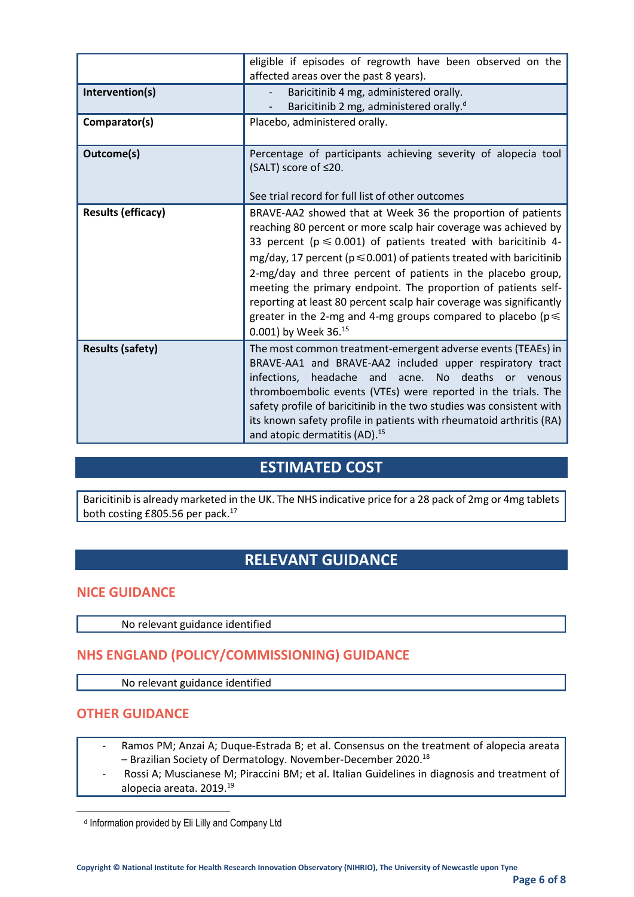|                           | eligible if episodes of regrowth have been observed on the<br>affected areas over the past 8 years).                                                                                                                                                                                                                                                                                                                                                                                                                                                                                       |  |
|---------------------------|--------------------------------------------------------------------------------------------------------------------------------------------------------------------------------------------------------------------------------------------------------------------------------------------------------------------------------------------------------------------------------------------------------------------------------------------------------------------------------------------------------------------------------------------------------------------------------------------|--|
| Intervention(s)           | Baricitinib 4 mg, administered orally.<br>Baricitinib 2 mg, administered orally. <sup>d</sup>                                                                                                                                                                                                                                                                                                                                                                                                                                                                                              |  |
| Comparator(s)             | Placebo, administered orally.                                                                                                                                                                                                                                                                                                                                                                                                                                                                                                                                                              |  |
| Outcome(s)                | Percentage of participants achieving severity of alopecia tool<br>(SALT) score of ≤20.                                                                                                                                                                                                                                                                                                                                                                                                                                                                                                     |  |
|                           | See trial record for full list of other outcomes                                                                                                                                                                                                                                                                                                                                                                                                                                                                                                                                           |  |
| <b>Results (efficacy)</b> | BRAVE-AA2 showed that at Week 36 the proportion of patients<br>reaching 80 percent or more scalp hair coverage was achieved by<br>33 percent ( $p \le 0.001$ ) of patients treated with baricitinib 4-<br>mg/day, 17 percent ( $p \le 0.001$ ) of patients treated with baricitinib<br>2-mg/day and three percent of patients in the placebo group,<br>meeting the primary endpoint. The proportion of patients self-<br>reporting at least 80 percent scalp hair coverage was significantly<br>greater in the 2-mg and 4-mg groups compared to placebo ( $p \leq$<br>0.001) by Week 36.15 |  |
| <b>Results (safety)</b>   | The most common treatment-emergent adverse events (TEAEs) in<br>BRAVE-AA1 and BRAVE-AA2 included upper respiratory tract<br>No deaths<br>infections,<br>headache and<br>acne.<br>or venous<br>thromboembolic events (VTEs) were reported in the trials. The<br>safety profile of baricitinib in the two studies was consistent with<br>its known safety profile in patients with rheumatoid arthritis (RA)<br>and atopic dermatitis (AD). <sup>15</sup>                                                                                                                                    |  |

## **ESTIMATED COST**

Baricitinib is already marketed in the UK. The NHS indicative price for a 28 pack of 2mg or 4mg tablets both costing £805.56 per pack.<sup>17</sup>

## **RELEVANT GUIDANCE**

#### **NICE GUIDANCE**

No relevant guidance identified

## **NHS ENGLAND (POLICY/COMMISSIONING) GUIDANCE**

No relevant guidance identified

#### **OTHER GUIDANCE**

- Ramos PM; Anzai A; Duque-Estrada B; et al. Consensus on the treatment of alopecia areata – Brazilian Society of Dermatology. November-December 2020. 18
- Rossi A; Muscianese M; Piraccini BM; et al. Italian Guidelines in diagnosis and treatment of alopecia areata. 2019. 19

d Information provided by Eli Lilly and Company Ltd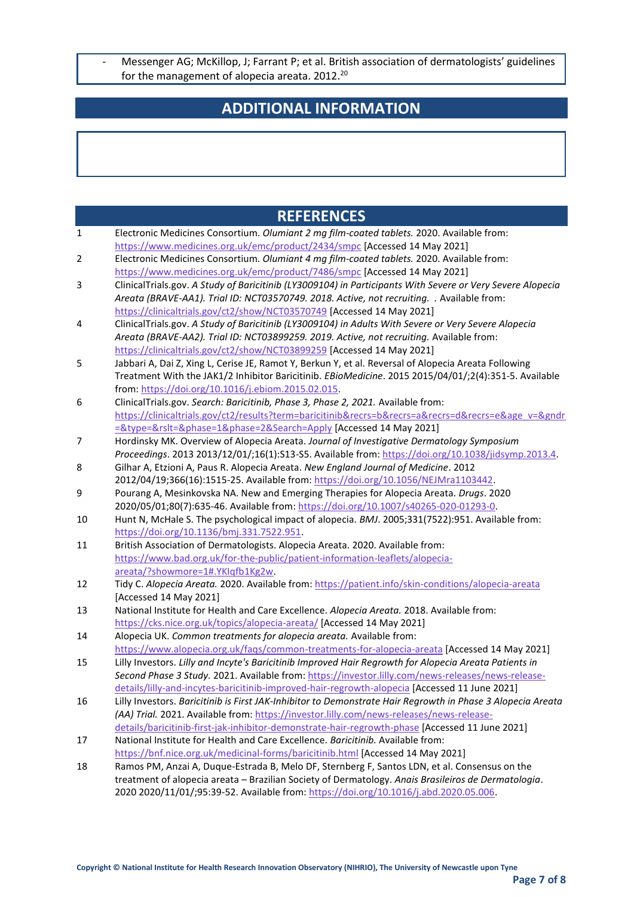- Messenger AG; McKillop, J; Farrant P; et al. British association of dermatologists' guidelines for the management of alopecia areata. 2012.<sup>20</sup>

## **ADDITIONAL INFORMATION**

|              | <b>REFERENCES</b>                                                                                                                                                                                       |
|--------------|---------------------------------------------------------------------------------------------------------------------------------------------------------------------------------------------------------|
| $\mathbf{1}$ | Electronic Medicines Consortium. Olumiant 2 mg film-coated tablets. 2020. Available from:                                                                                                               |
|              | https://www.medicines.org.uk/emc/product/2434/smpc [Accessed 14 May 2021]                                                                                                                               |
| 2            | Electronic Medicines Consortium. Olumiant 4 mg film-coated tablets. 2020. Available from:                                                                                                               |
|              | https://www.medicines.org.uk/emc/product/7486/smpc [Accessed 14 May 2021]                                                                                                                               |
| 3            | ClinicalTrials.gov. A Study of Baricitinib (LY3009104) in Participants With Severe or Very Severe Alopecia                                                                                              |
|              | Areata (BRAVE-AA1). Trial ID: NCT03570749. 2018. Active, not recruiting. . Available from:                                                                                                              |
|              | https://clinicaltrials.gov/ct2/show/NCT03570749 [Accessed 14 May 2021]                                                                                                                                  |
| 4            | ClinicalTrials.gov. A Study of Baricitinib (LY3009104) in Adults With Severe or Very Severe Alopecia                                                                                                    |
|              | Areata (BRAVE-AA2). Trial ID: NCT03899259. 2019. Active, not recruiting. Available from:                                                                                                                |
|              | https://clinicaltrials.gov/ct2/show/NCT03899259 [Accessed 14 May 2021]                                                                                                                                  |
| 5            | Jabbari A, Dai Z, Xing L, Cerise JE, Ramot Y, Berkun Y, et al. Reversal of Alopecia Areata Following                                                                                                    |
|              | Treatment With the JAK1/2 Inhibitor Baricitinib. EBioMedicine. 2015 2015/04/01/;2(4):351-5. Available<br>from: https://doi.org/10.1016/j.ebiom.2015.02.015                                              |
| 6            | ClinicalTrials.gov. Search: Baricitinib, Phase 3, Phase 2, 2021. Available from:                                                                                                                        |
|              | https://clinicaltrials.gov/ct2/results?term=baricitinib&recrs=b&recrs=a&recrs=d&recrs=e&age_v=&gndr                                                                                                     |
|              | =&type=&rslt=&phase=1&phase=2&Search=Apply [Accessed 14 May 2021]                                                                                                                                       |
| 7            | Hordinsky MK. Overview of Alopecia Areata. Journal of Investigative Dermatology Symposium                                                                                                               |
|              | Proceedings. 2013 2013/12/01/;16(1):S13-S5. Available from: https://doi.org/10.1038/jidsymp.2013.4.                                                                                                     |
| 8            | Gilhar A, Etzioni A, Paus R. Alopecia Areata. New England Journal of Medicine. 2012                                                                                                                     |
|              | 2012/04/19;366(16):1515-25. Available from: https://doi.org/10.1056/NEJMra1103442.                                                                                                                      |
| 9            | Pourang A, Mesinkovska NA. New and Emerging Therapies for Alopecia Areata. Drugs. 2020                                                                                                                  |
|              | 2020/05/01;80(7):635-46. Available from: https://doi.org/10.1007/s40265-020-01293-0.                                                                                                                    |
| 10           | Hunt N, McHale S. The psychological impact of alopecia. BMJ. 2005;331(7522):951. Available from:                                                                                                        |
|              | https://doi.org/10.1136/bmj.331.7522.951                                                                                                                                                                |
| 11           | British Association of Dermatologists. Alopecia Areata. 2020. Available from:                                                                                                                           |
|              | https://www.bad.org.uk/for-the-public/patient-information-leaflets/alopecia-                                                                                                                            |
|              | areata/?showmore=1#.YKIqfb1Kg2w.                                                                                                                                                                        |
| 12           | Tidy C. Alopecia Areata. 2020. Available from: https://patient.info/skin-conditions/alopecia-areata                                                                                                     |
|              | [Accessed 14 May 2021]                                                                                                                                                                                  |
| 13           | National Institute for Health and Care Excellence. Alopecia Areata. 2018. Available from:                                                                                                               |
|              | https://cks.nice.org.uk/topics/alopecia-areata/ [Accessed 14 May 2021]                                                                                                                                  |
| 14           | Alopecia UK. Common treatments for alopecia areata. Available from:                                                                                                                                     |
| 15           | https://www.alopecia.org.uk/faqs/common-treatments-for-alopecia-areata [Accessed 14 May 2021]<br>Lilly Investors. Lilly and Incyte's Baricitinib Improved Hair Regrowth for Alopecia Areata Patients in |
|              | Second Phase 3 Study. 2021. Available from: https://investor.lilly.com/news-releases/news-release-                                                                                                      |
|              | details/lilly-and-incytes-baricitinib-improved-hair-regrowth-alopecia [Accessed 11 June 2021]                                                                                                           |
| 16           | Lilly Investors. Baricitinib is First JAK-Inhibitor to Demonstrate Hair Regrowth in Phase 3 Alopecia Areata                                                                                             |
|              | (AA) Trial. 2021. Available from: https://investor.lilly.com/news-releases/news-release-                                                                                                                |
|              | details/baricitinib-first-jak-inhibitor-demonstrate-hair-regrowth-phase [Accessed 11 June 2021]                                                                                                         |
| 17           | National Institute for Health and Care Excellence. Baricitinib. Available from:                                                                                                                         |
|              | https://bnf.nice.org.uk/medicinal-forms/baricitinib.html [Accessed 14 May 2021]                                                                                                                         |
| 18           | Ramos PM, Anzai A, Duque-Estrada B, Melo DF, Sternberg F, Santos LDN, et al. Consensus on the                                                                                                           |
|              | treatment of alopecia areata - Brazilian Society of Dermatology. Anais Brasileiros de Dermatologia.                                                                                                     |
|              | 2020 2020/11/01/;95:39-52. Available from: https://doi.org/10.1016/j.abd.2020.05.006.                                                                                                                   |
|              |                                                                                                                                                                                                         |